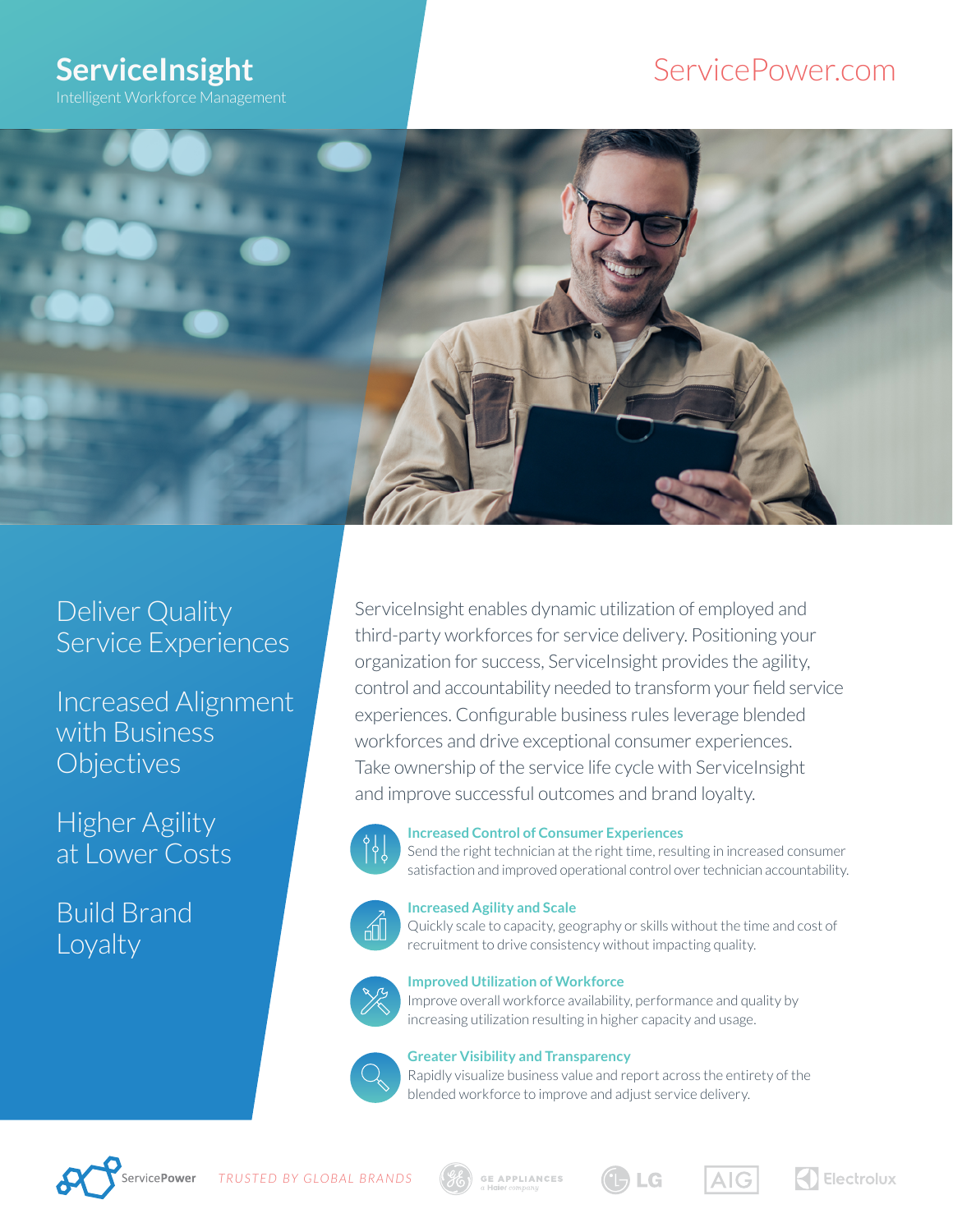# **ServiceInsight**

Intelligent Workforce Management

### ServicePower.com



### Deliver Quality Service Experiences

Increased Alignment with Business **Objectives** 

Higher Agility at Lower Costs

Build Brand Loyalty

ServiceInsight enables dynamic utilization of employed and third-party workforces for service delivery. Positioning your organization for success, ServiceInsight provides the agility, control and accountability needed to transform your field service experiences. Configurable business rules leverage blended workforces and drive exceptional consumer experiences. Take ownership of the service life cycle with ServiceInsight and improve successful outcomes and brand loyalty.



#### **Increased Control of Consumer Experiences**

Send the right technician at the right time, resulting in increased consumer satisfaction and improved operational control over technician accountability.



#### **Increased Agility and Scale**

Quickly scale to capacity, geography or skills without the time and cost of recruitment to drive consistency without impacting quality.



#### **Improved Utilization of Workforce**

Improve overall workforce availability, performance and quality by increasing utilization resulting in higher capacity and usage.



#### **Greater Visibility and Transparency**

Rapidly visualize business value and report across the entirety of the blended workforce to improve and adjust service delivery.